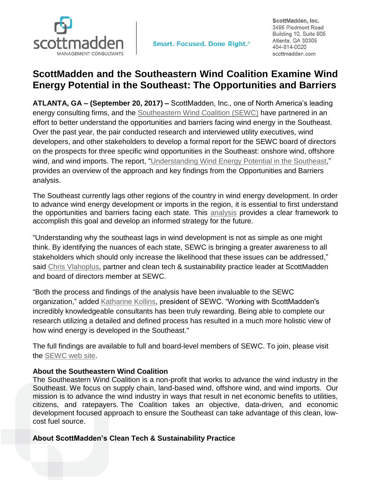

**Smart. Focused. Done Right.**<sup>®</sup>

ScottMadden, Inc. 3495 Piedmont Road Building 10, Suite 805 Atlanta, GA 30305 404-814-0020 scottmadden.com

## **ScottMadden and the Southeastern Wind Coalition Examine Wind Energy Potential in the Southeast: The Opportunities and Barriers**

**ATLANTA, GA – (September 20, 2017) –** ScottMadden, Inc., one of North America's leading energy consulting firms, and the [Southeastern Wind Coalition \(SEWC\)](http://www.sewind.org/) have partnered in an effort to better understand the opportunities and barriers facing wind energy in the Southeast. Over the past year, the pair conducted research and interviewed utility executives, wind developers, and other stakeholders to develop a formal report for the SEWC board of directors on the prospects for three specific wind opportunities in the Southeast: onshore wind, offshore wind, and wind imports. The report, ["Understanding Wind Energy Potential in the Southeast,](https://www.scottmadden.com/insight/understanding-wind-energy-potential-southeast/)" provides an overview of the approach and key findings from the Opportunities and Barriers analysis.

The Southeast currently lags other regions of the country in wind energy development. In order to advance wind energy development or imports in the region, it is essential to first understand the opportunities and barriers facing each state. This **analysis** provides a clear framework to accomplish this goal and develop an informed strategy for the future.

"Understanding why the southeast lags in wind development is not as simple as one might think. By identifying the nuances of each state, SEWC is bringing a greater awareness to all stakeholders which should only increase the likelihood that these issues can be addressed," said Chris [Vlahoplus,](https://www.scottmadden.com/person/chris-vlahoplus/) partner and clean tech & sustainability practice leader at ScottMadden and board of directors member at SEWC.

"Both the process and findings of the analysis have been invaluable to the SEWC organization," added **Katharine Kollins, president of SEWC**. "Working with ScottMadden's incredibly knowledgeable consultants has been truly rewarding. Being able to complete our research utilizing a detailed and defined process has resulted in a much more holistic view of how wind energy is developed in the Southeast."

The full findings are available to full and board-level members of SEWC. To join, please visit the [SEWC web](http://www.sewind.org/join-us) site.

## **About the Southeastern Wind Coalition**

The Southeastern Wind Coalition is a non-profit that works to advance the wind industry in the Southeast. We focus on supply chain, land-based wind, offshore wind, and wind imports. Our mission is to advance the wind industry in ways that result in net economic benefits to utilities, citizens, and ratepayers. The Coalition takes an objective, data-driven, and economic development focused approach to ensure the Southeast can take advantage of this clean, lowcost fuel source.

## **About ScottMadden's Clean Tech & Sustainability Practice**